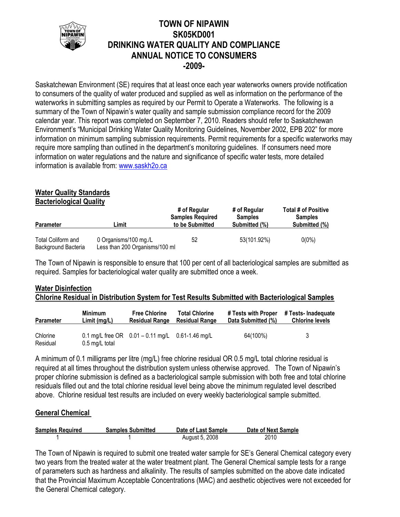

## **TOWN OF NIPAWIN SK05KD001 DRINKING WATER QUALITY AND COMPLIANCE ANNUAL NOTICE TO CONSUMERS -2009-**

Saskatchewan Environment (SE) requires that at least once each year waterworks owners provide notification to consumers of the quality of water produced and supplied as well as information on the performance of the waterworks in submitting samples as required by our Permit to Operate a Waterworks. The following is a summary of the Town of Nipawin's water quality and sample submission compliance record for the 2009 calendar year. This report was completed on September 7, 2010. Readers should refer to Saskatchewan Environment's "Municipal Drinking Water Quality Monitoring Guidelines, November 2002, EPB 202" for more information on minimum sampling submission requirements. Permit requirements for a specific waterworks may require more sampling than outlined in the department's monitoring guidelines. If consumers need more information on water regulations and the nature and significance of specific water tests, more detailed information is available from: [www.saskh2o.ca](http://www.saskh2o.ca/)

# **Water Quality Standards**

**Bacteriological Quality**

| <b>Parameter</b>                          | Limit                                                   | # of Regular<br><b>Samples Required</b><br>to be Submitted | # of Regular<br><b>Samples</b><br>Submitted (%) | Total # of Positive<br><b>Samples</b><br>Submitted (%) |
|-------------------------------------------|---------------------------------------------------------|------------------------------------------------------------|-------------------------------------------------|--------------------------------------------------------|
| Total Coliform and<br>Background Bacteria | 0 Organisms/100 mg./L<br>Less than 200 Organisms/100 ml | 52                                                         | 53(101.92%)                                     | $0(0\%)$                                               |

The Town of Nipawin is responsible to ensure that 100 per cent of all bacteriological samples are submitted as required. Samples for bacteriological water quality are submitted once a week.

## **Water Disinfection Chlorine Residual in Distribution System for Test Results Submitted with Bacteriological Samples**

| <b>Parameter</b>     | <b>Minimum</b>           | <b>Free Chlorine</b>                                   | <b>Total Chlorine</b> | # Tests with Proper | # Tests- Inadequate    |
|----------------------|--------------------------|--------------------------------------------------------|-----------------------|---------------------|------------------------|
|                      | Limit(mg/L)              | <b>Residual Range</b>                                  | <b>Residual Range</b> | Data Submitted (%)  | <b>Chlorine levels</b> |
| Chlorine<br>Residual | $0.5 \text{ mg/L}$ total | 0.1 mg/L free OR $0.01 - 0.11$ mg/L $0.61 - 1.46$ mg/L |                       | 64(100%)            | 3                      |

A minimum of 0.1 milligrams per litre (mg/L) free chlorine residual OR 0.5 mg/L total chlorine residual is required at all times throughout the distribution system unless otherwise approved. The Town of Nipawin's proper chlorine submission is defined as a bacteriological sample submission with both free and total chlorine residuals filled out and the total chlorine residual level being above the minimum regulated level described above. Chlorine residual test results are included on every weekly bacteriological sample submitted.

## **General Chemical**

| <b>Samples Required</b> | <b>Samples Submitted</b> | Date of Last Sample | Date of Next Sample |
|-------------------------|--------------------------|---------------------|---------------------|
|                         |                          | August 5, 2008      | 2010                |

The Town of Nipawin is required to submit one treated water sample for SE's General Chemical category every two years from the treated water at the water treatment plant. The General Chemical sample tests for a range of parameters such as hardness and alkalinity. The results of samples submitted on the above date indicated that the Provincial Maximum Acceptable Concentrations (MAC) and aesthetic objectives were not exceeded for the General Chemical category.